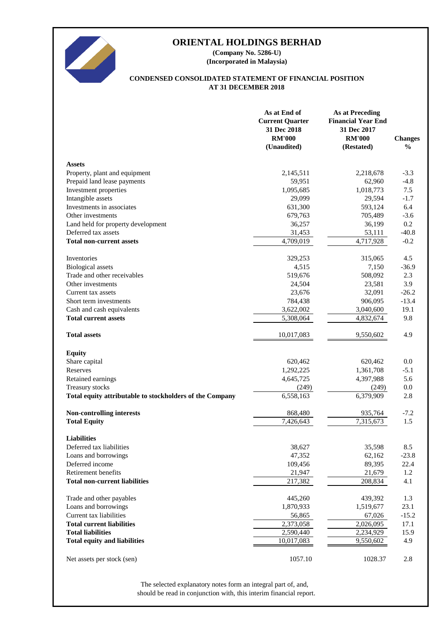

**(Incorporated in Malaysia) (Company No. 5286-U)**

# **AT 31 DECEMBER 2018 CONDENSED CONSOLIDATED STATEMENT OF FINANCIAL POSITION**

|                                                          | As at End of<br><b>Current Quarter</b><br>31 Dec 2018<br><b>RM'000</b><br>(Unaudited) | <b>As at Preceding</b><br><b>Financial Year End</b><br>31 Dec 2017<br><b>RM'000</b><br>(Restated) | <b>Changes</b><br>$\frac{0}{0}$ |
|----------------------------------------------------------|---------------------------------------------------------------------------------------|---------------------------------------------------------------------------------------------------|---------------------------------|
| <b>Assets</b>                                            |                                                                                       |                                                                                                   |                                 |
| Property, plant and equipment                            | 2,145,511                                                                             | 2,218,678                                                                                         | $-3.3$                          |
| Prepaid land lease payments                              | 59,951                                                                                | 62,960                                                                                            | $-4.8$                          |
| Investment properties                                    | 1,095,685                                                                             | 1,018,773                                                                                         | 7.5                             |
| Intangible assets                                        | 29,099                                                                                | 29,594                                                                                            | $-1.7$                          |
| Investments in associates                                | 631,300                                                                               | 593,124                                                                                           | 6.4                             |
| Other investments                                        | 679,763                                                                               | 705,489                                                                                           | $-3.6$                          |
| Land held for property development                       | 36,257                                                                                | 36,199                                                                                            | 0.2                             |
| Deferred tax assets                                      | 31,453                                                                                | 53,111                                                                                            | $-40.8$                         |
| <b>Total non-current assets</b>                          | $\overline{4,709,019}$                                                                | 4,717,928                                                                                         | $-0.2$                          |
| Inventories                                              | 329,253                                                                               | 315,065                                                                                           | 4.5                             |
| <b>Biological</b> assets                                 | 4,515                                                                                 | 7,150                                                                                             | $-36.9$                         |
| Trade and other receivables                              | 519,676                                                                               | 508,092                                                                                           | 2.3                             |
| Other investments                                        | 24,504                                                                                | 23,581                                                                                            | 3.9                             |
| Current tax assets                                       | 23,676                                                                                | 32,091                                                                                            | $-26.2$                         |
| Short term investments                                   | 784,438                                                                               | 906,095                                                                                           | $-13.4$                         |
| Cash and cash equivalents                                | 3,622,002                                                                             | 3,040,600                                                                                         | 19.1                            |
| <b>Total current assets</b>                              | 5,308,064                                                                             | 4,832,674                                                                                         | 9.8                             |
| <b>Total assets</b>                                      | 10,017,083                                                                            | 9,550,602                                                                                         | 4.9                             |
| <b>Equity</b>                                            |                                                                                       |                                                                                                   |                                 |
| Share capital                                            | 620,462                                                                               | 620,462                                                                                           | 0.0                             |
| Reserves                                                 | 1,292,225                                                                             | 1,361,708                                                                                         | $-5.1$                          |
| Retained earnings                                        | 4,645,725                                                                             | 4,397,988                                                                                         | 5.6                             |
| Treasury stocks                                          | (249)                                                                                 | (249)                                                                                             | 0.0                             |
| Total equity attributable to stockholders of the Company | $\overline{6,}558,163$                                                                | 6,379,909                                                                                         | 2.8                             |
| <b>Non-controlling interests</b>                         | 868,480                                                                               | 935,764                                                                                           | $-7.2$                          |
| <b>Total Equity</b>                                      | 7,426,643                                                                             | 7,315,673                                                                                         | 1.5                             |
| <b>Liabilities</b>                                       |                                                                                       |                                                                                                   |                                 |
| Deferred tax liabilities                                 | 38,627                                                                                | 35,598                                                                                            | 8.5                             |
| Loans and borrowings                                     | 47,352                                                                                | 62,162                                                                                            | $-23.8$                         |
| Deferred income                                          | 109,456                                                                               | 89,395                                                                                            | 22.4                            |
| Retirement benefits                                      | 21,947                                                                                | 21,679                                                                                            | 1.2                             |
| <b>Total non-current liabilities</b>                     | 217,382                                                                               | 208,834                                                                                           | 4.1                             |
| Trade and other payables                                 | 445,260                                                                               | 439,392                                                                                           | 1.3                             |
| Loans and borrowings                                     | 1,870,933                                                                             | 1,519,677                                                                                         | 23.1                            |
| Current tax liabilities                                  | 56,865                                                                                | 67,026                                                                                            | $-15.2$                         |
| <b>Total current liabilities</b>                         | 2,373,058                                                                             | 2,026,095                                                                                         | 17.1                            |
| <b>Total liabilities</b>                                 | 2,590,440                                                                             | 2,234,929                                                                                         | 15.9                            |
| <b>Total equity and liabilities</b>                      | 10,017,083                                                                            | 9,550,602                                                                                         | 4.9                             |
| Net assets per stock (sen)                               | 1057.10                                                                               | 1028.37                                                                                           | 2.8                             |

should be read in conjunction with, this interim financial report. The selected explanatory notes form an integral part of, and,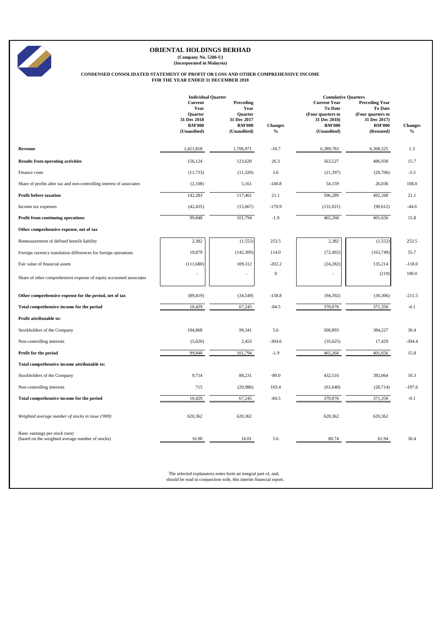**(Company No. 5286-U) (Incorporated in Malaysia)**

# **CONDENSED CONSOLIDATED STATEMENT OF PROFIT OR LOSS AND OTHER COMPREHENSIVE INCOME FOR THE YEAR ENDED 31 DECEMBER 2018**

|                                                                                    | <b>Individual Quarter</b><br>Current<br>Year<br>Quarter<br>31 Dec 2018<br><b>RM'000</b><br>(Unaudited) | Preceding<br>Year<br>Quarter<br>31 Dec 2017<br><b>RM'000</b><br>(Unaudited) | <b>Changes</b><br>$\%$ | <b>Cumulative Quarters</b><br><b>Current Year</b><br><b>To Date</b><br>(Four quarters to<br>31 Dec 2018)<br><b>RM'000</b><br>(Unaudited) | <b>Preceding Year</b><br>To Date<br>(Four quarters to<br>31 Dec 2017)<br><b>RM'000</b><br>(Restated) | <b>Changes</b><br>$\%$ |
|------------------------------------------------------------------------------------|--------------------------------------------------------------------------------------------------------|-----------------------------------------------------------------------------|------------------------|------------------------------------------------------------------------------------------------------------------------------------------|------------------------------------------------------------------------------------------------------|------------------------|
| Revenue                                                                            | 1,421,818                                                                                              | 1,706,971                                                                   | $-16.7$                | 6,389,783                                                                                                                                | 6,308,525                                                                                            | 1.3                    |
| <b>Results from operating activities</b>                                           | 156,124                                                                                                | 123,620                                                                     | 26.3                   | 563,527                                                                                                                                  | 486,938                                                                                              | 15.7                   |
| Finance costs                                                                      | (11, 733)                                                                                              | (11,320)                                                                    | 3.6                    | (21, 397)                                                                                                                                | (20,706)                                                                                             | $-3.3$                 |
| Share of profits after tax and non-controlling interest of associates              | (2,108)                                                                                                | 5,161                                                                       | $-140.8$               | 54,159                                                                                                                                   | 26,036                                                                                               | 108.0                  |
| <b>Profit before taxation</b>                                                      | 142,283                                                                                                | 117,461                                                                     | 21.1                   | 596,289                                                                                                                                  | 492,268                                                                                              | 21.1                   |
| Income tax expenses                                                                | (42, 435)                                                                                              | (15,667)                                                                    | $-170.9$               | (131, 021)                                                                                                                               | (90, 612)                                                                                            | $-44.6$                |
| Profit from continuing operations                                                  | 99,848                                                                                                 | 101,794                                                                     | $-1.9$                 | 465,268                                                                                                                                  | 401,656                                                                                              | 15.8                   |
| Other comprehensive expense, net of tax                                            |                                                                                                        |                                                                             |                        |                                                                                                                                          |                                                                                                      |                        |
| Remeasurement of defined benefit liability                                         | 2,382                                                                                                  | (1, 552)                                                                    | 253.5                  | 2,382                                                                                                                                    | (1, 552)                                                                                             | 253.5                  |
| Foreign currency translation differences for foreign operations                    | 19,879                                                                                                 | (142, 309)                                                                  | 114.0                  | (72, 492)                                                                                                                                | (163, 749)                                                                                           | 55.7                   |
| Fair value of financial assets                                                     | (111,680)                                                                                              | 109,312                                                                     | $-202.2$               | (24, 282)                                                                                                                                | 135,214                                                                                              | $-118.0$               |
| Share of other comprehensive expense of equity accounted associates                |                                                                                                        |                                                                             | $\boldsymbol{0}$       |                                                                                                                                          | (219)                                                                                                | 100.0                  |
| Other comprehensive expense for the period, net of tax                             | (89, 419)                                                                                              | (34, 549)                                                                   | $-158.8$               | (94, 392)                                                                                                                                | (30, 306)                                                                                            | $-211.5$               |
| Total comprehensive income for the period                                          | 10,429                                                                                                 | 67,245                                                                      | $-84.5$                | 370,876                                                                                                                                  | 371,350                                                                                              | $-0.1$                 |
| Profit attributable to:                                                            |                                                                                                        |                                                                             |                        |                                                                                                                                          |                                                                                                      |                        |
| Stockholders of the Company                                                        | 104,868                                                                                                | 99,341                                                                      | 5.6                    | 500,893                                                                                                                                  | 384,227                                                                                              | 30.4                   |
| Non-controlling interests                                                          | (5,020)                                                                                                | 2,453                                                                       | $-304.6$               | (35, 625)                                                                                                                                | 17,429                                                                                               | $-304.4$               |
| Profit for the period                                                              | 99,848                                                                                                 | 101,794                                                                     | $-1.9$                 | 465,268                                                                                                                                  | 401,656                                                                                              | 15.8                   |
| Total comprehensive income attributable to:                                        |                                                                                                        |                                                                             |                        |                                                                                                                                          |                                                                                                      |                        |
| Stockholders of the Company                                                        | 9,714                                                                                                  | 88,231                                                                      | $-89.0$                | 432,516                                                                                                                                  | 392,064                                                                                              | 10.3                   |
| Non-controlling interests                                                          | 715                                                                                                    | (20, 986)                                                                   | 103.4                  | (61, 640)                                                                                                                                | (20, 714)                                                                                            | $-197.6$               |
| Total comprehensive income for the period                                          | 10,429                                                                                                 | 67,245                                                                      | $-84.5$                | 370,876                                                                                                                                  | 371,350                                                                                              | $-0.1$                 |
| Weighted average number of stocks in issue ('000)                                  | 620,362                                                                                                | 620,362                                                                     |                        | 620,362                                                                                                                                  | 620,362                                                                                              |                        |
| Basic earnings per stock (sen)<br>(based on the weighted average number of stocks) | 16.90                                                                                                  | 16.01                                                                       | 5.6                    | 80.74                                                                                                                                    | 61.94                                                                                                | 30.4                   |

The selected explanatory notes form an integral part of, and, should be read in conjunction with, this interim financial report.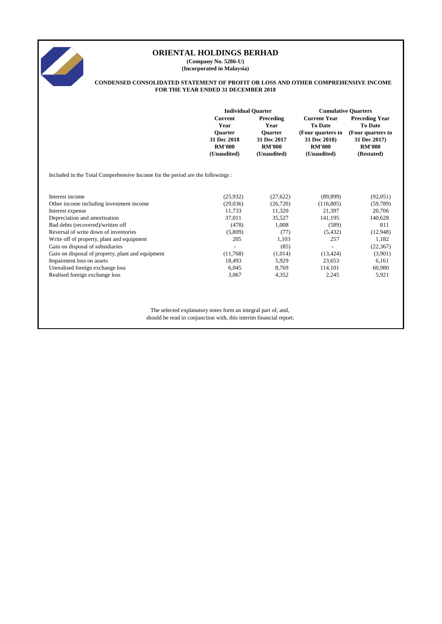

**(Company No. 5286-U) (Incorporated in Malaysia)**

#### **CONDENSED CONSOLIDATED STATEMENT OF PROFIT OR LOSS AND OTHER COMPREHENSIVE INCOME FOR THE YEAR ENDED 31 DECEMBER 2018**

|                                                                               | <b>Individual Quarter</b>                                     |                                                               | <b>Cumulative Quarters</b>                                        |                                                                  |  |
|-------------------------------------------------------------------------------|---------------------------------------------------------------|---------------------------------------------------------------|-------------------------------------------------------------------|------------------------------------------------------------------|--|
|                                                                               | <b>Current</b><br>Year                                        | Preceding<br>Year                                             | <b>Current Year</b><br><b>To Date</b>                             | <b>Preceding Year</b><br><b>To Date</b>                          |  |
|                                                                               | <b>Ouarter</b><br>31 Dec 2018<br><b>RM'000</b><br>(Unaudited) | <b>Ouarter</b><br>31 Dec 2017<br><b>RM'000</b><br>(Unaudited) | (Four quarters to<br>31 Dec 2018)<br><b>RM'000</b><br>(Unaudited) | (Four quarters to<br>31 Dec 2017)<br><b>RM'000</b><br>(Restated) |  |
| Included in the Total Comprehensive Income for the period are the followings: |                                                               |                                                               |                                                                   |                                                                  |  |
| Interest income                                                               | (25, 932)                                                     | (27, 622)                                                     | (89, 899)                                                         | (92,051)                                                         |  |
| Other income including investment income                                      | (29,036)                                                      | (26,720)                                                      | (116, 805)                                                        | (59, 789)                                                        |  |
| Interest expense                                                              | 11,733                                                        | 11,320                                                        | 21,397                                                            | 20,706                                                           |  |
| Depreciation and amortisation                                                 | 37,011                                                        | 35,527                                                        | 141,195                                                           | 140,628                                                          |  |
| Bad debts (recovered)/written off                                             | (478)                                                         | 1,008                                                         | (589)                                                             | 811                                                              |  |
| Reversal of write down of inventories                                         | (5,809)                                                       | (77)                                                          | (5, 432)                                                          | (12,948)                                                         |  |
| Write off of property, plant and equipment                                    | 205                                                           | 1,103                                                         | 257                                                               | 1,182                                                            |  |
| Gain on disposal of subsidiaries                                              |                                                               | (85)                                                          |                                                                   | (22, 367)                                                        |  |
| Gain on disposal of property, plant and equipment                             | (11,768)                                                      | (1,014)                                                       | (13, 424)                                                         | (3,901)                                                          |  |
| Impairment loss on assets                                                     | 18,493                                                        | 5,929                                                         | 23,653                                                            | 6,161                                                            |  |
| Unrealised foreign exchange loss                                              | 6,045                                                         | 8,769                                                         | 114,101                                                           | 60,980                                                           |  |
| Realised foreign exchange loss                                                | 3,067                                                         | 4,352                                                         | 2,245                                                             | 5,921                                                            |  |
|                                                                               |                                                               |                                                               |                                                                   |                                                                  |  |
|                                                                               |                                                               |                                                               |                                                                   |                                                                  |  |
|                                                                               |                                                               |                                                               |                                                                   |                                                                  |  |

The selected explanatory notes form an integral part of, and, should be read in conjunction with, this interim financial report.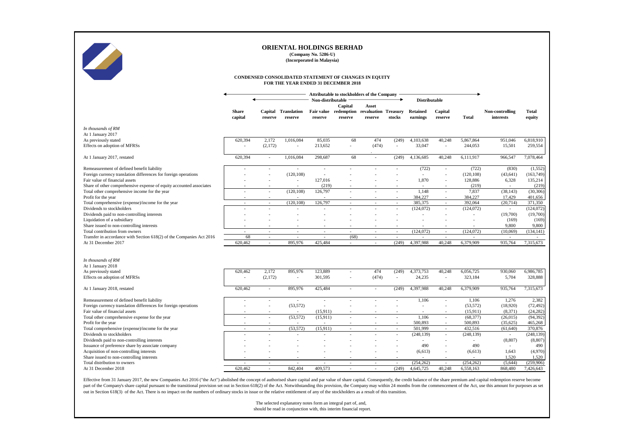

**(Company No. 5286-U) (Incorporated in Malaysia)**

#### **CONDENSED CONSOLIDATED STATEMENT OF CHANGES IN EQUITY FOR THE YEAR ENDED 31 DECEMBER 2018**

|                                                                      |              |                          |                          |                          |                          | Attributable to stockholders of the Company |                          |                          |                          |            |                 |              |
|----------------------------------------------------------------------|--------------|--------------------------|--------------------------|--------------------------|--------------------------|---------------------------------------------|--------------------------|--------------------------|--------------------------|------------|-----------------|--------------|
|                                                                      |              |                          |                          | Non-distributable        |                          |                                             |                          | <b>Distributable</b>     |                          |            |                 |              |
|                                                                      |              |                          |                          |                          | Capital                  | Asset                                       |                          |                          |                          |            |                 |              |
|                                                                      | <b>Share</b> |                          | Capital Translation      |                          |                          | Fair value redemption revaluation Treasury  |                          | <b>Retained</b>          | Capital                  |            | Non-controlling | <b>Total</b> |
|                                                                      | capital      | reserve                  | reserve                  | reserve                  | reserve                  | reserve                                     | stocks                   | earnings                 | reserve                  | Total      | interests       | equity       |
| In thousands of RM                                                   |              |                          |                          |                          |                          |                                             |                          |                          |                          |            |                 |              |
| At 1 January 2017                                                    |              |                          |                          |                          |                          |                                             |                          |                          |                          |            |                 |              |
| As previously stated                                                 | 620,394      | 2,172                    | 1,016,084                | 85,035                   | 68                       | 474                                         | (249)                    | 4,103,638                | 40,248                   | 5,867,864  | 951,046         | 6,818,910    |
| Effects on adoption of MFRSs                                         |              | (2, 172)                 | $\sim$                   | 213,652                  | L,                       | (474)                                       | ÷                        | 33,047                   | ÷                        | 244,053    | 15,501          | 259,554      |
|                                                                      |              |                          |                          |                          |                          |                                             |                          |                          |                          |            |                 |              |
| At 1 January 2017, restated                                          | 620,394      | $\overline{\phantom{a}}$ | 1,016,084                | 298,687                  | 68                       | $\overline{\phantom{a}}$                    | (249)                    | 4,136,685                | 40,248                   | 6,111,917  | 966,547         | 7,078,464    |
| Remeasurement of defined benefit liability                           |              | ٠                        | $\overline{\phantom{a}}$ | $\sim$                   | $\overline{a}$           |                                             |                          | (722)                    | $\overline{\phantom{a}}$ | (722)      | (830)           | (1,552)      |
| Foreign currency translation differences for foreign operations      |              | ٠                        | (120, 108)               | $\sim$                   |                          |                                             |                          | ÷                        | L,                       | (120, 108) | (43, 641)       | (163, 749)   |
| Fair value of financial assets                                       |              |                          | $\sim$                   | 127,016                  |                          |                                             |                          | 1,870                    | $\overline{a}$           | 128,886    | 6,328           | 135,214      |
| Share of other comprehensive expense of equity accounted associates  |              | $\overline{\phantom{a}}$ | $\overline{\phantom{a}}$ | (219)                    |                          |                                             |                          | $\overline{\phantom{a}}$ |                          | (219)      |                 | (219)        |
| Total other comprehensive income for the year                        |              | $\sim$                   | (120, 108)               | 126,797                  | ä,                       | $\overline{a}$                              | $\overline{a}$           | 1,148                    | $\sim$                   | 7,837      | (38, 143)       | (30, 306)    |
| Profit for the year                                                  | $\sim$       | $\overline{\phantom{a}}$ | $\overline{\phantom{a}}$ |                          |                          |                                             |                          | 384,227                  | $\sim$                   | 384,227    | 17,429          | 401,656      |
| Total comprehensive (expense)/income for the year                    | $\sim$       | $\sim$                   | (120.108)                | 126,797                  | $\sim$                   | $\sim$                                      | $\overline{\phantom{a}}$ | 385,375                  | $\sim$                   | 392,064    | (20, 714)       | 371,350      |
| Dividends to stockholders                                            |              | ٠                        |                          |                          |                          |                                             |                          | (124,072)                | ÷                        | (124, 072) |                 | (124,072)    |
| Dividends paid to non-controlling interests                          |              | $\overline{\phantom{a}}$ | $\overline{\phantom{a}}$ |                          | $\overline{\phantom{a}}$ | $\overline{\phantom{a}}$                    | $\overline{\phantom{a}}$ |                          | ٠                        |            | (19,700)        | (19,700)     |
| Liquidation of a subsidiary                                          |              |                          |                          |                          |                          |                                             |                          |                          |                          |            | (169)           | (169)        |
| Share issued to non-controlling interests                            |              | $\overline{\phantom{a}}$ | $\overline{a}$           | $\overline{\phantom{a}}$ | $\overline{\phantom{a}}$ | $\overline{\phantom{a}}$                    |                          |                          |                          |            | 9.800           | 9.800        |
| Total contribution from owners                                       |              | $\overline{\phantom{a}}$ | $\overline{\phantom{a}}$ | $\overline{a}$           | ٠                        | ٠                                           | $\overline{\phantom{a}}$ | (124,072)                | $\sim$                   | (124, 072) | (10,069)        | (134, 141)   |
| Transfer in accordance with Section 618(2) of the Companies Act 2016 | 68           | $\sim$                   | $\sim$                   | $\sim$                   | (68)                     | $\sim$                                      | $\overline{\phantom{a}}$ |                          | $\sim$                   |            |                 |              |
| At 31 December 2017                                                  | 620.462      | $\overline{\phantom{a}}$ | 895,976                  | 425,484                  | $\sim$                   |                                             | (249)                    | 4,397,988                | 40,248                   | 6,379,909  | 935,764         | 7,315,673    |
|                                                                      |              |                          |                          |                          |                          |                                             |                          |                          |                          |            |                 |              |
| In thousands of RM<br>At 1 January 2018                              |              |                          |                          |                          |                          |                                             |                          |                          |                          |            |                 |              |
| As previously stated                                                 | 620,462      | 2,172                    | 895,976                  | 123.889                  | $\overline{\phantom{a}}$ | 474                                         | (249)                    | 4,373,753                | 40,248                   | 6,056,725  | 930,060         | 6,986,785    |
| Effects on adoption of MFRSs                                         |              | (2,172)                  | $\overline{a}$           | 301,595                  |                          | (474)                                       | $\overline{a}$           | 24,235                   | $\overline{a}$           | 323,184    | 5,704           | 328,888      |
|                                                                      |              |                          |                          |                          |                          |                                             |                          |                          |                          |            |                 |              |
| At 1 January 2018, restated                                          | 620,462      | ٠                        | 895,976                  | 425,484                  | $\sim$                   | $\overline{a}$                              | (249)                    | 4,397,988                | 40,248                   | 6,379,909  | 935,764         | 7,315,673    |
| Remeasurement of defined benefit liability                           |              | $\overline{\phantom{a}}$ | $\overline{\phantom{a}}$ | $\overline{\phantom{a}}$ | $\overline{a}$           |                                             |                          | 1,106                    | $\sim$                   | 1,106      | 1,276           | 2,382        |
| Foreign currency translation differences for foreign operations      |              | ٠                        | (53, 572)                | ÷                        | $\overline{a}$           |                                             |                          |                          | $\sim$                   | (53, 572)  | (18,920)        | (72, 492)    |
| Fair value of financial assets                                       |              | $\overline{\phantom{a}}$ | $\overline{\phantom{a}}$ | (15,911)                 |                          |                                             |                          |                          |                          | (15,911)   | (8, 371)        | (24, 282)    |
| Total other comprehensive expense for the year                       |              | $\sim$                   | (53, 572)                | (15, 911)                | $\overline{a}$           | $\overline{a}$                              | $\overline{\phantom{a}}$ | 1,106                    | ÷                        | (68, 377)  | (26, 015)       | (94, 392)    |
| Profit for the year                                                  | $\sim$       | $\overline{\phantom{a}}$ | $\overline{\phantom{a}}$ |                          |                          |                                             |                          | 500,893                  | $\sim$                   | 500,893    | (35, 625)       | 465,268      |
| Total comprehensive (expense)/income for the year                    | $\sim$       | $\sim$                   | (53, 572)                | (15, 911)                | $\sim$                   | $\sim$                                      | $\sim$                   | 501,999                  | $\sim$                   | 432,516    | (61, 640)       | 370,876      |
| Dividends to stockholders                                            |              |                          |                          |                          |                          |                                             |                          | (248, 139)               | ÷                        | (248, 139) |                 | (248, 139)   |
| Dividends paid to non-controlling interests                          |              |                          |                          |                          |                          |                                             |                          | $\sim$                   | $\overline{a}$           |            | (8, 807)        | (8, 807)     |
| Issuance of preference share by associate company                    |              |                          |                          |                          |                          |                                             |                          | 490                      | L,                       | 490        |                 | 490          |
| Acquisition of non-controlling interests                             |              |                          |                          |                          |                          |                                             |                          | (6,613)                  | $\sim$                   | (6, 613)   | 1,643           | (4,970)      |
| Share issued to non-controlling interests                            |              |                          |                          |                          |                          |                                             |                          |                          |                          |            | 1,520           | 1,520        |
| Total distribution to owners                                         |              | $\overline{\phantom{a}}$ | $\overline{\phantom{a}}$ | $\sim$                   | $\overline{\phantom{a}}$ | $\overline{\phantom{a}}$                    | $\overline{\phantom{a}}$ | (254, 262)               | $\sim$                   | (254, 262) | (5.644)         | (259.906)    |
| At 31 December 2018                                                  | 620.462      | $\overline{\phantom{a}}$ | 842,404                  | 409,573                  |                          |                                             | (249)                    | 4,645,725                | 40,248                   | 6,558,163  | 868,480         | 7,426,643    |

Effective from 31 January 2017, the new Companies Act 2016 ("the Act") abolished the concept of authorised share capital and par value of share capital. Consequently, the credit balance of the share premium and capital red out in Section 618(3) of the Act. There is no impact on the numbers of ordinary stocks in issue or the relative entitlement of any of the stockholders as a result of this transition.

> The selected explanatory notes form an integral part of, and, should be read in conjunction with, this interim financial report.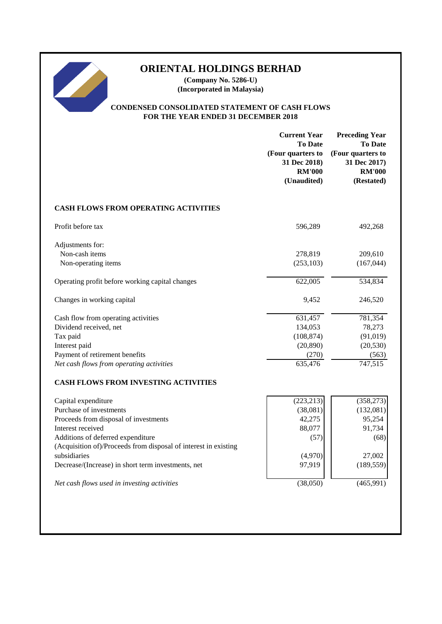**(Company No. 5286-U) (Incorporated in Malaysia)**

# **CONDENSED CONSOLIDATED STATEMENT OF CASH FLOWS FOR THE YEAR ENDED 31 DECEMBER 2018**

|                                                                                                      | <b>Current Year</b><br><b>To Date</b><br>(Four quarters to<br>31 Dec 2018)<br><b>RM'000</b><br>(Unaudited) | <b>Preceding Year</b><br><b>To Date</b><br>(Four quarters to<br>31 Dec 2017)<br><b>RM'000</b><br>(Restated) |
|------------------------------------------------------------------------------------------------------|------------------------------------------------------------------------------------------------------------|-------------------------------------------------------------------------------------------------------------|
| <b>CASH FLOWS FROM OPERATING ACTIVITIES</b>                                                          |                                                                                                            |                                                                                                             |
| Profit before tax                                                                                    | 596,289                                                                                                    | 492,268                                                                                                     |
| Adjustments for:                                                                                     |                                                                                                            |                                                                                                             |
| Non-cash items                                                                                       | 278,819                                                                                                    | 209,610                                                                                                     |
| Non-operating items                                                                                  | (253, 103)                                                                                                 | (167, 044)                                                                                                  |
| Operating profit before working capital changes                                                      | 622,005                                                                                                    | 534,834                                                                                                     |
| Changes in working capital                                                                           | 9,452                                                                                                      | 246,520                                                                                                     |
| Cash flow from operating activities                                                                  | 631,457                                                                                                    | 781,354                                                                                                     |
| Dividend received, net                                                                               | 134,053                                                                                                    | 78,273                                                                                                      |
| Tax paid                                                                                             | (108, 874)                                                                                                 | (91, 019)                                                                                                   |
| Interest paid                                                                                        | (20, 890)                                                                                                  | (20, 530)                                                                                                   |
| Payment of retirement benefits                                                                       | (270)                                                                                                      | (563)                                                                                                       |
| Net cash flows from operating activities                                                             | 635,476                                                                                                    | 747,515                                                                                                     |
| <b>CASH FLOWS FROM INVESTING ACTIVITIES</b>                                                          |                                                                                                            |                                                                                                             |
| Capital expenditure                                                                                  | (223, 213)                                                                                                 | (358, 273)                                                                                                  |
| Purchase of investments                                                                              | (38,081)                                                                                                   | (132,081)                                                                                                   |
| Proceeds from disposal of investments                                                                | 42,275                                                                                                     | 95,254                                                                                                      |
| Interest received                                                                                    | 88,077                                                                                                     | 91,734                                                                                                      |
| Additions of deferred expenditure<br>(Acquisition of)/Proceeds from disposal of interest in existing | (57)                                                                                                       | (68)                                                                                                        |
| subsidiaries                                                                                         | (4,970)                                                                                                    | 27,002                                                                                                      |
| Decrease/(Increase) in short term investments, net                                                   | 97,919                                                                                                     | (189, 559)                                                                                                  |
| Net cash flows used in investing activities                                                          | (38,050)                                                                                                   | (465,991)                                                                                                   |
|                                                                                                      |                                                                                                            |                                                                                                             |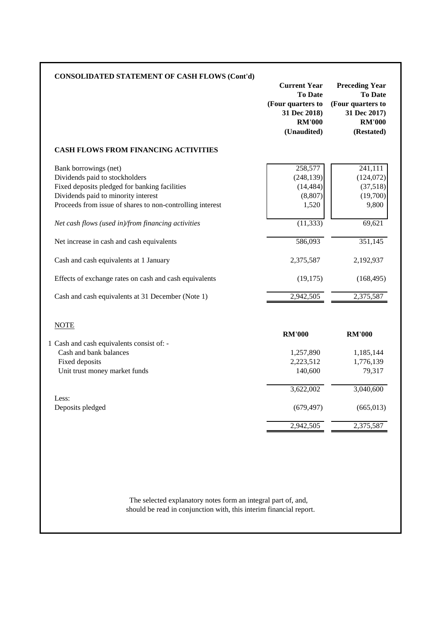| <b>CONSOLIDATED STATEMENT OF CASH FLOWS (Cont'd)</b>                                                                                                                                                         | <b>Current Year</b><br><b>To Date</b><br>(Four quarters to<br>31 Dec 2018)<br><b>RM'000</b><br>(Unaudited) | <b>Preceding Year</b><br><b>To Date</b><br>(Four quarters to<br>31 Dec 2017)<br><b>RM'000</b><br>(Restated) |
|--------------------------------------------------------------------------------------------------------------------------------------------------------------------------------------------------------------|------------------------------------------------------------------------------------------------------------|-------------------------------------------------------------------------------------------------------------|
| <b>CASH FLOWS FROM FINANCING ACTIVITIES</b>                                                                                                                                                                  |                                                                                                            |                                                                                                             |
| Bank borrowings (net)<br>Dividends paid to stockholders<br>Fixed deposits pledged for banking facilities<br>Dividends paid to minority interest<br>Proceeds from issue of shares to non-controlling interest | 258,577<br>(248, 139)<br>(14, 484)<br>(8, 807)<br>1,520                                                    | 241,111<br>(124,072)<br>(37,518)<br>(19,700)<br>9,800                                                       |
| Net cash flows (used in)/from financing activities                                                                                                                                                           | (11, 333)                                                                                                  | 69,621                                                                                                      |
| Net increase in cash and cash equivalents                                                                                                                                                                    | 586,093                                                                                                    | 351,145                                                                                                     |
| Cash and cash equivalents at 1 January                                                                                                                                                                       | 2,375,587                                                                                                  | 2,192,937                                                                                                   |
| Effects of exchange rates on cash and cash equivalents                                                                                                                                                       | (19, 175)                                                                                                  | (168, 495)                                                                                                  |
| Cash and cash equivalents at 31 December (Note 1)                                                                                                                                                            | 2,942,505                                                                                                  | 2,375,587                                                                                                   |
| <b>NOTE</b>                                                                                                                                                                                                  | <b>RM'000</b>                                                                                              | <b>RM'000</b>                                                                                               |
| 1 Cash and cash equivalents consist of: -<br>Cash and bank balances<br>Fixed deposits<br>Unit trust money market funds                                                                                       | 1,257,890<br>2,223,512<br>140,600                                                                          | 1,185,144<br>1,776,139<br>79,317                                                                            |
| Less:                                                                                                                                                                                                        | 3,622,002                                                                                                  | 3,040,600                                                                                                   |
| Deposits pledged                                                                                                                                                                                             | (679, 497)                                                                                                 | (665, 013)                                                                                                  |
|                                                                                                                                                                                                              | 2,942,505                                                                                                  | 2,375,587                                                                                                   |

should be read in conjunction with, this interim financial report. The selected explanatory notes form an integral part of, and,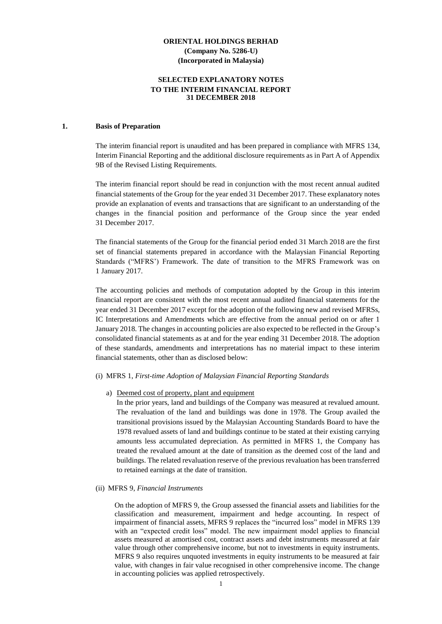### **SELECTED EXPLANATORY NOTES TO THE INTERIM FINANCIAL REPORT 31 DECEMBER 2018**

#### **1. Basis of Preparation**

The interim financial report is unaudited and has been prepared in compliance with MFRS 134, Interim Financial Reporting and the additional disclosure requirements as in Part A of Appendix 9B of the Revised Listing Requirements.

The interim financial report should be read in conjunction with the most recent annual audited financial statements of the Group for the year ended 31 December 2017. These explanatory notes provide an explanation of events and transactions that are significant to an understanding of the changes in the financial position and performance of the Group since the year ended 31 December 2017.

The financial statements of the Group for the financial period ended 31 March 2018 are the first set of financial statements prepared in accordance with the Malaysian Financial Reporting Standards ("MFRS') Framework. The date of transition to the MFRS Framework was on 1 January 2017.

The accounting policies and methods of computation adopted by the Group in this interim financial report are consistent with the most recent annual audited financial statements for the year ended 31 December 2017 except for the adoption of the following new and revised MFRSs, IC Interpretations and Amendments which are effective from the annual period on or after 1 January 2018. The changes in accounting policies are also expected to be reflected in the Group's consolidated financial statements as at and for the year ending 31 December 2018. The adoption of these standards, amendments and interpretations has no material impact to these interim financial statements, other than as disclosed below:

#### (i) MFRS 1, *First-time Adoption of Malaysian Financial Reporting Standards*

#### a) Deemed cost of property, plant and equipment

In the prior years, land and buildings of the Company was measured at revalued amount. The revaluation of the land and buildings was done in 1978. The Group availed the transitional provisions issued by the Malaysian Accounting Standards Board to have the 1978 revalued assets of land and buildings continue to be stated at their existing carrying amounts less accumulated depreciation. As permitted in MFRS 1, the Company has treated the revalued amount at the date of transition as the deemed cost of the land and buildings. The related revaluation reserve of the previous revaluation has been transferred to retained earnings at the date of transition.

#### (ii) MFRS 9, *Financial Instruments*

On the adoption of MFRS 9, the Group assessed the financial assets and liabilities for the classification and measurement, impairment and hedge accounting. In respect of impairment of financial assets, MFRS 9 replaces the "incurred loss" model in MFRS 139 with an "expected credit loss" model. The new impairment model applies to financial assets measured at amortised cost, contract assets and debt instruments measured at fair value through other comprehensive income, but not to investments in equity instruments. MFRS 9 also requires unquoted investments in equity instruments to be measured at fair value, with changes in fair value recognised in other comprehensive income. The change in accounting policies was applied retrospectively.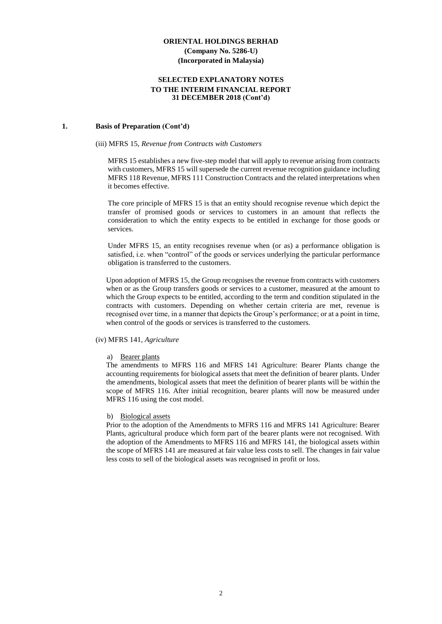#### **SELECTED EXPLANATORY NOTES TO THE INTERIM FINANCIAL REPORT 31 DECEMBER 2018 (Cont'd)**

#### **1. Basis of Preparation (Cont'd)**

#### (iii) MFRS 15, *Revenue from Contracts with Customers*

MFRS 15 establishes a new five-step model that will apply to revenue arising from contracts with customers, MFRS 15 will supersede the current revenue recognition guidance including MFRS 118 Revenue, MFRS 111 Construction Contracts and the related interpretations when it becomes effective.

The core principle of MFRS 15 is that an entity should recognise revenue which depict the transfer of promised goods or services to customers in an amount that reflects the consideration to which the entity expects to be entitled in exchange for those goods or services.

Under MFRS 15, an entity recognises revenue when (or as) a performance obligation is satisfied, i.e. when "control" of the goods or services underlying the particular performance obligation is transferred to the customers.

Upon adoption of MFRS 15, the Group recognises the revenue from contracts with customers when or as the Group transfers goods or services to a customer, measured at the amount to which the Group expects to be entitled, according to the term and condition stipulated in the contracts with customers. Depending on whether certain criteria are met, revenue is recognised over time, in a manner that depicts the Group's performance; or at a point in time, when control of the goods or services is transferred to the customers.

#### (iv) MFRS 141*, Agriculture*

#### a) Bearer plants

The amendments to MFRS 116 and MFRS 141 Agriculture: Bearer Plants change the accounting requirements for biological assets that meet the definition of bearer plants. Under the amendments, biological assets that meet the definition of bearer plants will be within the scope of MFRS 116. After initial recognition, bearer plants will now be measured under MFRS 116 using the cost model.

#### b) Biological assets

Prior to the adoption of the Amendments to MFRS 116 and MFRS 141 Agriculture: Bearer Plants, agricultural produce which form part of the bearer plants were not recognised. With the adoption of the Amendments to MFRS 116 and MFRS 141, the biological assets within the scope of MFRS 141 are measured at fair value less costs to sell. The changes in fair value less costs to sell of the biological assets was recognised in profit or loss.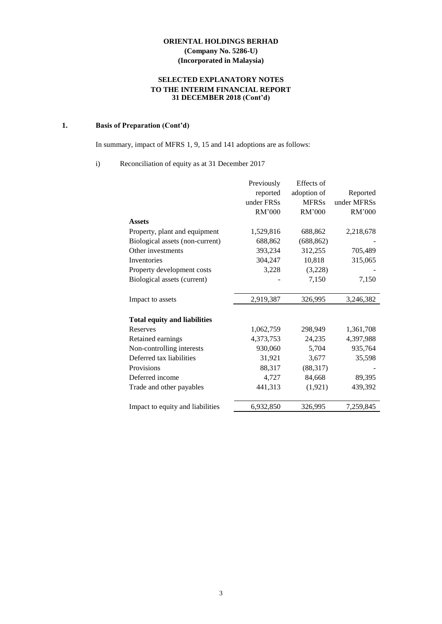# **SELECTED EXPLANATORY NOTES TO THE INTERIM FINANCIAL REPORT 31 DECEMBER 2018 (Cont'd)**

# **1. Basis of Preparation (Cont'd)**

In summary, impact of MFRS 1, 9, 15 and 141 adoptions are as follows:

# i) Reconciliation of equity as at 31 December 2017

|                                     | Previously | Effects of   |             |
|-------------------------------------|------------|--------------|-------------|
|                                     | reported   | adoption of  | Reported    |
|                                     | under FRSs | <b>MFRSs</b> | under MFRSs |
|                                     | RM'000     | RM'000       | RM'000      |
| <b>Assets</b>                       |            |              |             |
| Property, plant and equipment       | 1,529,816  | 688,862      | 2,218,678   |
| Biological assets (non-current)     | 688,862    | (688, 862)   |             |
| Other investments                   | 393,234    | 312,255      | 705,489     |
| Inventories                         | 304,247    | 10,818       | 315,065     |
| Property development costs          | 3,228      | (3,228)      |             |
| Biological assets (current)         |            | 7,150        | 7,150       |
|                                     |            |              |             |
| Impact to assets                    | 2,919,387  | 326,995      | 3,246,382   |
|                                     |            |              |             |
| <b>Total equity and liabilities</b> |            |              |             |
| Reserves                            | 1,062,759  | 298,949      | 1,361,708   |
| Retained earnings                   | 4,373,753  | 24,235       | 4,397,988   |
| Non-controlling interests           | 930,060    | 5,704        | 935,764     |
| Deferred tax liabilities            | 31,921     | 3,677        | 35,598      |
| Provisions                          | 88,317     | (88, 317)    |             |
| Deferred income                     | 4,727      | 84,668       | 89,395      |
| Trade and other payables            | 441,313    | (1,921)      | 439,392     |
|                                     |            |              |             |
| Impact to equity and liabilities    | 6,932,850  | 326,995      | 7,259,845   |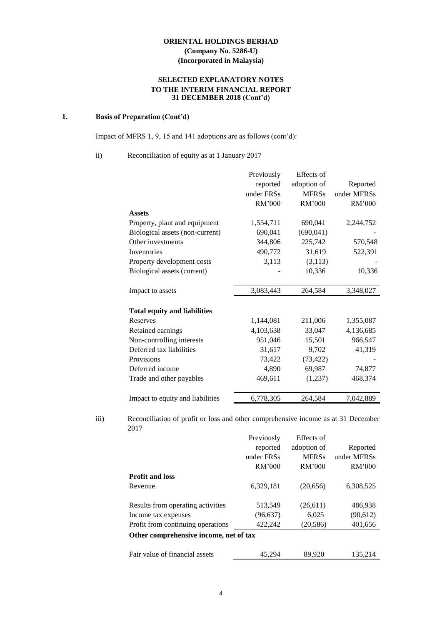# **SELECTED EXPLANATORY NOTES TO THE INTERIM FINANCIAL REPORT 31 DECEMBER 2018 (Cont'd)**

# **1. Basis of Preparation (Cont'd)**

Impact of MFRS 1, 9, 15 and 141 adoptions are as follows (cont'd):

ii) Reconciliation of equity as at 1 January 2017

|                                     | Previously | Effects of   |             |
|-------------------------------------|------------|--------------|-------------|
|                                     | reported   | adoption of  | Reported    |
|                                     | under FRSs | <b>MFRSs</b> | under MFRSs |
|                                     | RM'000     | RM'000       | RM'000      |
| <b>Assets</b>                       |            |              |             |
| Property, plant and equipment       | 1,554,711  | 690,041      | 2,244,752   |
| Biological assets (non-current)     | 690,041    | (690, 041)   |             |
| Other investments                   | 344,806    | 225,742      | 570,548     |
| Inventories                         | 490,772    | 31,619       | 522,391     |
| Property development costs          | 3,113      | (3, 113)     |             |
| Biological assets (current)         |            | 10,336       | 10,336      |
|                                     |            |              |             |
| Impact to assets                    | 3,083,443  | 264,584      | 3,348,027   |
|                                     |            |              |             |
| <b>Total equity and liabilities</b> |            |              |             |
| Reserves                            | 1,144,081  | 211,006      | 1,355,087   |
| Retained earnings                   | 4,103,638  | 33,047       | 4,136,685   |
| Non-controlling interests           | 951,046    | 15,501       | 966,547     |
| Deferred tax liabilities            | 31,617     | 9,702        | 41,319      |
| Provisions                          | 73,422     | (73, 422)    |             |
| Deferred income                     | 4,890      | 69,987       | 74,877      |
| Trade and other payables            | 469,611    | (1,237)      | 468,374     |
|                                     |            |              |             |
| Impact to equity and liabilities    | 6,778,305  | 264,584      | 7,042,889   |

iii) Reconciliation of profit or loss and other comprehensive income as at 31 December 2017

|                                        | Previously | Effects of   |             |  |  |  |
|----------------------------------------|------------|--------------|-------------|--|--|--|
|                                        | reported   | adoption of  | Reported    |  |  |  |
|                                        | under FRSs | <b>MFRSs</b> | under MFRSs |  |  |  |
|                                        | RM'000     | RM'000       | RM'000      |  |  |  |
| <b>Profit and loss</b>                 |            |              |             |  |  |  |
| Revenue                                | 6,329,181  | (20,656)     | 6,308,525   |  |  |  |
|                                        |            |              |             |  |  |  |
| Results from operating activities      | 513,549    | (26,611)     | 486,938     |  |  |  |
| Income tax expenses                    | (96, 637)  | 6,025        | (90,612)    |  |  |  |
| Profit from continuing operations      | 422,242    | (20,586)     | 401,656     |  |  |  |
| Other comprehensive income, net of tax |            |              |             |  |  |  |
|                                        |            |              |             |  |  |  |
| Fair value of financial assets         | 45.294     | 89,920       | 135,214     |  |  |  |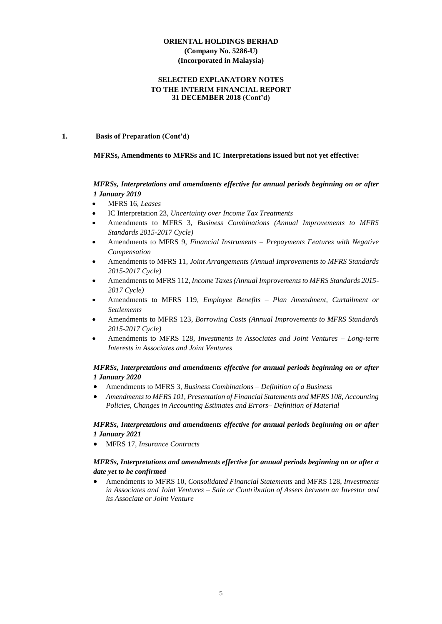#### **SELECTED EXPLANATORY NOTES TO THE INTERIM FINANCIAL REPORT 31 DECEMBER 2018 (Cont'd)**

#### **1. Basis of Preparation (Cont'd)**

#### **MFRSs, Amendments to MFRSs and IC Interpretations issued but not yet effective:**

### *MFRSs, Interpretations and amendments effective for annual periods beginning on or after 1 January 2019*

- MFRS 16, *Leases*
- IC Interpretation 23, *Uncertainty over Income Tax Treatments*
- Amendments to MFRS 3, *Business Combinations (Annual Improvements to MFRS Standards 2015-2017 Cycle)*
- Amendments to MFRS 9, *Financial Instruments – Prepayments Features with Negative Compensation*
- Amendments to MFRS 11*, Joint Arrangements (Annual Improvements to MFRS Standards 2015-2017 Cycle)*
- Amendments to MFRS 112*, Income Taxes (Annual Improvements to MFRS Standards 2015- 2017 Cycle)*
- Amendments to MFRS 119*, Employee Benefits – Plan Amendment, Curtailment or Settlements*
- Amendments to MFRS 123*, Borrowing Costs (Annual Improvements to MFRS Standards 2015-2017 Cycle)*
- Amendments to MFRS 128*, Investments in Associates and Joint Ventures – Long-term Interests in Associates and Joint Ventures*

### *MFRSs, Interpretations and amendments effective for annual periods beginning on or after 1 January 2020*

- Amendments to MFRS 3, *Business Combinations – Definition of a Business*
- *Amendments to MFRS 101, Presentation of Financial Statements and MFRS 108, Accounting Policies, Changes in Accounting Estimates and Errors– Definition of Material*

### *MFRSs, Interpretations and amendments effective for annual periods beginning on or after 1 January 2021*

• MFRS 17, *Insurance Contracts*

# *MFRSs, Interpretations and amendments effective for annual periods beginning on or after a date yet to be confirmed*

• Amendments to MFRS 10, *Consolidated Financial Statements* and MFRS 128, *Investments in Associates and Joint Ventures – Sale or Contribution of Assets between an Investor and its Associate or Joint Venture*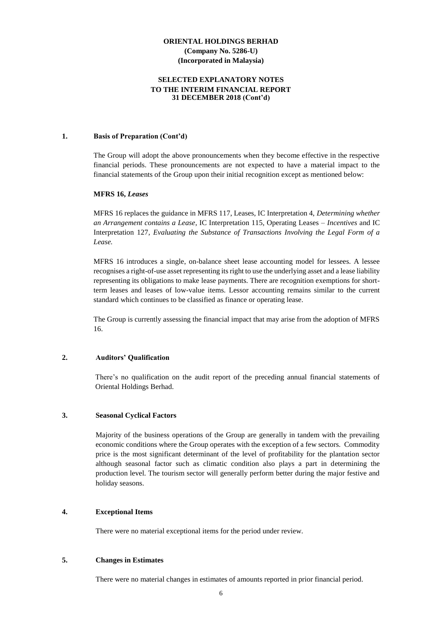### **SELECTED EXPLANATORY NOTES TO THE INTERIM FINANCIAL REPORT 31 DECEMBER 2018 (Cont'd)**

#### **1. Basis of Preparation (Cont'd)**

The Group will adopt the above pronouncements when they become effective in the respective financial periods. These pronouncements are not expected to have a material impact to the financial statements of the Group upon their initial recognition except as mentioned below:

#### **MFRS 16,** *Leases*

MFRS 16 replaces the guidance in MFRS 117, Leases, IC Interpretation 4, *Determining whether an Arrangement contains a Lease*, IC Interpretation 115, Operating Leases *– Incentives* and IC Interpretation 127*, Evaluating the Substance of Transactions Involving the Legal Form of a Lease.*

MFRS 16 introduces a single, on-balance sheet lease accounting model for lessees. A lessee recognises a right-of-use asset representing its right to use the underlying asset and a lease liability representing its obligations to make lease payments. There are recognition exemptions for shortterm leases and leases of low-value items. Lessor accounting remains similar to the current standard which continues to be classified as finance or operating lease.

The Group is currently assessing the financial impact that may arise from the adoption of MFRS 16.

#### **2. Auditors' Qualification**

There's no qualification on the audit report of the preceding annual financial statements of Oriental Holdings Berhad.

#### **3. Seasonal Cyclical Factors**

Majority of the business operations of the Group are generally in tandem with the prevailing economic conditions where the Group operates with the exception of a few sectors. Commodity price is the most significant determinant of the level of profitability for the plantation sector although seasonal factor such as climatic condition also plays a part in determining the production level. The tourism sector will generally perform better during the major festive and holiday seasons.

#### **4. Exceptional Items**

There were no material exceptional items for the period under review.

#### **5. Changes in Estimates**

There were no material changes in estimates of amounts reported in prior financial period.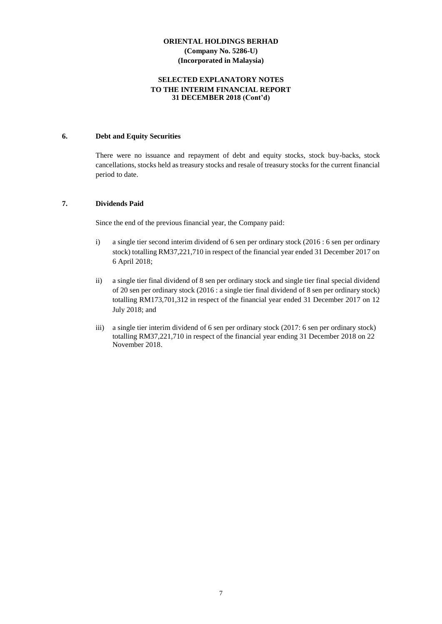#### **SELECTED EXPLANATORY NOTES TO THE INTERIM FINANCIAL REPORT 31 DECEMBER 2018 (Cont'd)**

#### **6. Debt and Equity Securities**

There were no issuance and repayment of debt and equity stocks, stock buy-backs, stock cancellations, stocks held as treasury stocks and resale of treasury stocks for the current financial period to date.

#### **7. Dividends Paid**

Since the end of the previous financial year, the Company paid:

- i) a single tier second interim dividend of 6 sen per ordinary stock (2016 : 6 sen per ordinary stock) totalling RM37,221,710 in respect of the financial year ended 31 December 2017 on 6 April 2018;
- ii) a single tier final dividend of 8 sen per ordinary stock and single tier final special dividend of 20 sen per ordinary stock (2016 : a single tier final dividend of 8 sen per ordinary stock) totalling RM173,701,312 in respect of the financial year ended 31 December 2017 on 12 July 2018; and
- iii) a single tier interim dividend of 6 sen per ordinary stock (2017: 6 sen per ordinary stock) totalling RM37,221,710 in respect of the financial year ending 31 December 2018 on 22 November 2018.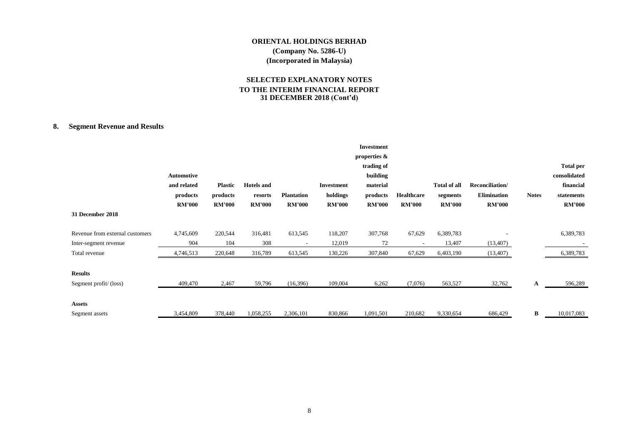# **SELECTED EXPLANATORY NOTES TO THE INTERIM FINANCIAL REPORT 31 DECEMBER 2018 (Cont'd)**

# **8. Segment Revenue and Results**

|                                 |                   |                |                   |                   |               | <b>Investment</b><br>properties & |               |                     |                    |              |                  |
|---------------------------------|-------------------|----------------|-------------------|-------------------|---------------|-----------------------------------|---------------|---------------------|--------------------|--------------|------------------|
|                                 |                   |                |                   |                   |               | trading of                        |               |                     |                    |              | <b>Total per</b> |
|                                 | <b>Automotive</b> |                |                   |                   |               | building                          |               |                     |                    |              | consolidated     |
|                                 | and related       | <b>Plastic</b> | <b>Hotels</b> and |                   | Investment    | material                          |               | <b>Total of all</b> | Reconciliation/    |              | financial        |
|                                 | products          | products       | resorts           | <b>Plantation</b> | holdings      | products                          | Healthcare    | segments            | <b>Elimination</b> | <b>Notes</b> | statements       |
|                                 | <b>RM'000</b>     | <b>RM'000</b>  | <b>RM'000</b>     | <b>RM'000</b>     | <b>RM'000</b> | <b>RM'000</b>                     | <b>RM'000</b> | <b>RM'000</b>       | <b>RM'000</b>      |              | <b>RM'000</b>    |
| 31 December 2018                |                   |                |                   |                   |               |                                   |               |                     |                    |              |                  |
| Revenue from external customers | 4,745,609         | 220,544        | 316,481           | 613,545           | 118,207       | 307,768                           | 67,629        | 6,389,783           |                    |              | 6,389,783        |
| Inter-segment revenue           | 904               | 104            | 308               |                   | 12,019        | 72                                |               | 13,407              | (13, 407)          |              |                  |
| Total revenue                   | 4,746,513         | 220,648        | 316,789           | 613,545           | 130,226       | 307,840                           | 67,629        | 6,403,190           | (13,407)           |              | 6,389,783        |
| <b>Results</b>                  |                   |                |                   |                   |               |                                   |               |                     |                    |              |                  |
| Segment profit/(loss)           | 409,470           | 2,467          | 59,796            | (16,396)          | 109,004       | 6,262                             | (7,076)       | 563,527             | 32,762             | A            | 596,289          |
|                                 |                   |                |                   |                   |               |                                   |               |                     |                    |              |                  |
| <b>Assets</b>                   |                   |                |                   |                   |               |                                   |               |                     |                    |              |                  |
| Segment assets                  | 3,454,809         | 378,440        | 1,058,255         | 2,306,101         | 830,866       | 1,091,501                         | 210,682       | 9,330,654           | 686,429            | B            | 10,017,083       |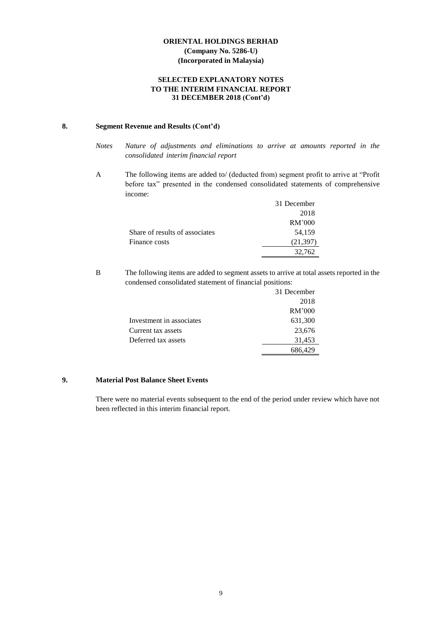# **SELECTED EXPLANATORY NOTES TO THE INTERIM FINANCIAL REPORT 31 DECEMBER 2018 (Cont'd)**

# **8. Segment Revenue and Results (Cont'd)**

- *Notes Nature of adjustments and eliminations to arrive at amounts reported in the consolidated interim financial report*
- A The following items are added to/ (deducted from) segment profit to arrive at "Profit before tax" presented in the condensed consolidated statements of comprehensive income:

|                                | 31 December |
|--------------------------------|-------------|
|                                | 2018        |
|                                | RM'000      |
| Share of results of associates | 54,159      |
| Finance costs                  | (21, 397)   |
|                                | 32,762      |

B The following items are added to segment assets to arrive at total assets reported in the condensed consolidated statement of financial positions:

|                          | 31 December |
|--------------------------|-------------|
|                          | 2018        |
|                          | RM'000      |
| Investment in associates | 631,300     |
| Current tax assets       | 23,676      |
| Deferred tax assets      | 31,453      |
|                          | 686,429     |

### **9. Material Post Balance Sheet Events**

There were no material events subsequent to the end of the period under review which have not been reflected in this interim financial report.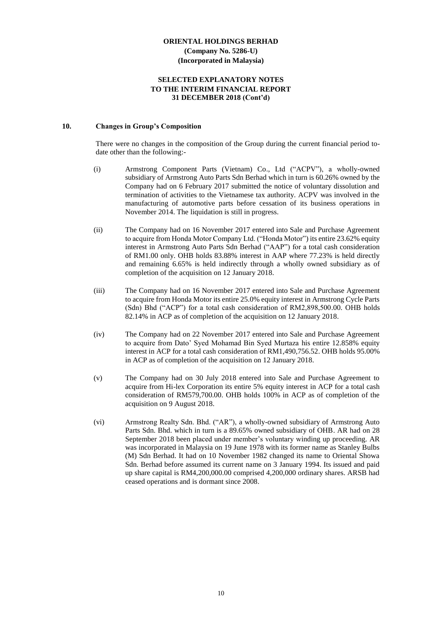#### **SELECTED EXPLANATORY NOTES TO THE INTERIM FINANCIAL REPORT 31 DECEMBER 2018 (Cont'd)**

#### **10. Changes in Group's Composition**

There were no changes in the composition of the Group during the current financial period todate other than the following:-

- (i) Armstrong Component Parts (Vietnam) Co., Ltd ("ACPV"), a wholly-owned subsidiary of Armstrong Auto Parts Sdn Berhad which in turn is 60.26% owned by the Company had on 6 February 2017 submitted the notice of voluntary dissolution and termination of activities to the Vietnamese tax authority. ACPV was involved in the manufacturing of automotive parts before cessation of its business operations in November 2014. The liquidation is still in progress.
- (ii) The Company had on 16 November 2017 entered into Sale and Purchase Agreement to acquire from Honda Motor Company Ltd. ("Honda Motor") its entire 23.62% equity interest in Armstrong Auto Parts Sdn Berhad ("AAP") for a total cash consideration of RM1.00 only. OHB holds 83.88% interest in AAP where 77.23% is held directly and remaining 6.65% is held indirectly through a wholly owned subsidiary as of completion of the acquisition on 12 January 2018.
- (iii) The Company had on 16 November 2017 entered into Sale and Purchase Agreement to acquire from Honda Motor its entire 25.0% equity interest in Armstrong Cycle Parts (Sdn) Bhd ("ACP") for a total cash consideration of RM2,898,500.00. OHB holds 82.14% in ACP as of completion of the acquisition on 12 January 2018.
- (iv) The Company had on 22 November 2017 entered into Sale and Purchase Agreement to acquire from Dato' Syed Mohamad Bin Syed Murtaza his entire 12.858% equity interest in ACP for a total cash consideration of RM1,490,756.52. OHB holds 95.00% in ACP as of completion of the acquisition on 12 January 2018.
- (v) The Company had on 30 July 2018 entered into Sale and Purchase Agreement to acquire from Hi-lex Corporation its entire 5% equity interest in ACP for a total cash consideration of RM579,700.00. OHB holds 100% in ACP as of completion of the acquisition on 9 August 2018.
- (vi) Armstrong Realty Sdn. Bhd. ("AR"), a wholly-owned subsidiary of Armstrong Auto Parts Sdn. Bhd. which in turn is a 89.65% owned subsidiary of OHB. AR had on 28 September 2018 been placed under member's voluntary winding up proceeding. AR was incorporated in Malaysia on 19 June 1978 with its former name as Stanley Bulbs (M) Sdn Berhad. It had on 10 November 1982 changed its name to Oriental Showa Sdn. Berhad before assumed its current name on 3 January 1994. Its issued and paid up share capital is RM4,200,000.00 comprised 4,200,000 ordinary shares. ARSB had ceased operations and is dormant since 2008.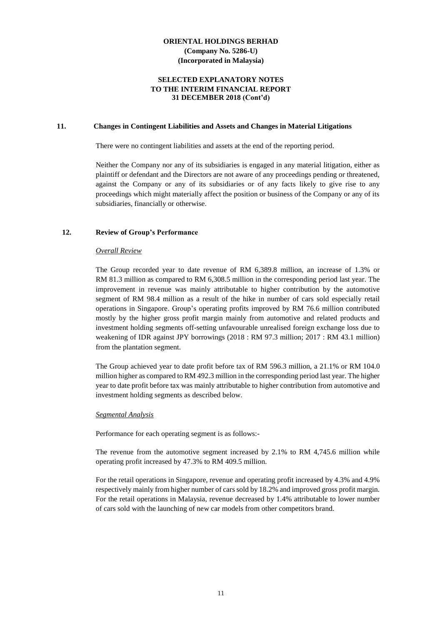#### **SELECTED EXPLANATORY NOTES TO THE INTERIM FINANCIAL REPORT 31 DECEMBER 2018 (Cont'd)**

#### **11. Changes in Contingent Liabilities and Assets and Changes in Material Litigations**

There were no contingent liabilities and assets at the end of the reporting period.

Neither the Company nor any of its subsidiaries is engaged in any material litigation, either as plaintiff or defendant and the Directors are not aware of any proceedings pending or threatened, against the Company or any of its subsidiaries or of any facts likely to give rise to any proceedings which might materially affect the position or business of the Company or any of its subsidiaries, financially or otherwise.

#### **12. Review of Group's Performance**

#### *Overall Review*

The Group recorded year to date revenue of RM 6,389.8 million, an increase of 1.3% or RM 81.3 million as compared to RM 6,308.5 million in the corresponding period last year. The improvement in revenue was mainly attributable to higher contribution by the automotive segment of RM 98.4 million as a result of the hike in number of cars sold especially retail operations in Singapore. Group's operating profits improved by RM 76.6 million contributed mostly by the higher gross profit margin mainly from automotive and related products and investment holding segments off-setting unfavourable unrealised foreign exchange loss due to weakening of IDR against JPY borrowings (2018 : RM 97.3 million; 2017 : RM 43.1 million) from the plantation segment.

The Group achieved year to date profit before tax of RM 596.3 million, a 21.1% or RM 104.0 million higher as compared to RM 492.3 million in the corresponding period last year. The higher year to date profit before tax was mainly attributable to higher contribution from automotive and investment holding segments as described below.

#### *Segmental Analysis*

Performance for each operating segment is as follows:-

The revenue from the automotive segment increased by 2.1% to RM 4,745.6 million while operating profit increased by 47.3% to RM 409.5 million.

For the retail operations in Singapore, revenue and operating profit increased by 4.3% and 4.9% respectively mainly from higher number of cars sold by 18.2% and improved gross profit margin. For the retail operations in Malaysia, revenue decreased by 1.4% attributable to lower number of cars sold with the launching of new car models from other competitors brand.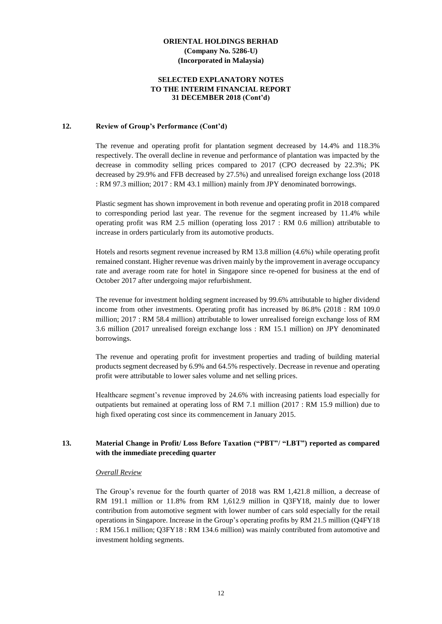#### **SELECTED EXPLANATORY NOTES TO THE INTERIM FINANCIAL REPORT 31 DECEMBER 2018 (Cont'd)**

#### **12. Review of Group's Performance (Cont'd)**

The revenue and operating profit for plantation segment decreased by 14.4% and 118.3% respectively. The overall decline in revenue and performance of plantation was impacted by the decrease in commodity selling prices compared to 2017 (CPO decreased by 22.3%; PK decreased by 29.9% and FFB decreased by 27.5%) and unrealised foreign exchange loss (2018 : RM 97.3 million; 2017 : RM 43.1 million) mainly from JPY denominated borrowings.

Plastic segment has shown improvement in both revenue and operating profit in 2018 compared to corresponding period last year. The revenue for the segment increased by 11.4% while operating profit was RM 2.5 million (operating loss 2017 : RM 0.6 million) attributable to increase in orders particularly from its automotive products.

Hotels and resorts segment revenue increased by RM 13.8 million (4.6%) while operating profit remained constant. Higher revenue was driven mainly by the improvement in average occupancy rate and average room rate for hotel in Singapore since re-opened for business at the end of October 2017 after undergoing major refurbishment.

The revenue for investment holding segment increased by 99.6% attributable to higher dividend income from other investments. Operating profit has increased by 86.8% (2018 : RM 109.0 million; 2017 : RM 58.4 million) attributable to lower unrealised foreign exchange loss of RM 3.6 million (2017 unrealised foreign exchange loss : RM 15.1 million) on JPY denominated borrowings.

The revenue and operating profit for investment properties and trading of building material products segment decreased by 6.9% and 64.5% respectively. Decrease in revenue and operating profit were attributable to lower sales volume and net selling prices.

Healthcare segment's revenue improved by 24.6% with increasing patients load especially for outpatients but remained at operating loss of RM 7.1 million (2017 : RM 15.9 million) due to high fixed operating cost since its commencement in January 2015.

# **13. Material Change in Profit/ Loss Before Taxation ("PBT"/ "LBT") reported as compared with the immediate preceding quarter**

#### *Overall Review*

The Group's revenue for the fourth quarter of 2018 was RM 1,421.8 million, a decrease of RM 191.1 million or 11.8% from RM 1,612.9 million in Q3FY18, mainly due to lower contribution from automotive segment with lower number of cars sold especially for the retail operations in Singapore. Increase in the Group's operating profits by RM 21.5 million (Q4FY18 : RM 156.1 million; Q3FY18 : RM 134.6 million) was mainly contributed from automotive and investment holding segments.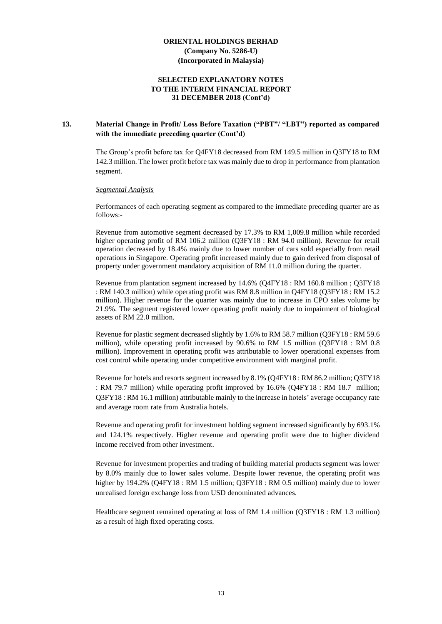#### **SELECTED EXPLANATORY NOTES TO THE INTERIM FINANCIAL REPORT 31 DECEMBER 2018 (Cont'd)**

#### **13. Material Change in Profit/ Loss Before Taxation ("PBT"/ "LBT") reported as compared with the immediate preceding quarter (Cont'd)**

The Group's profit before tax for Q4FY18 decreased from RM 149.5 million in Q3FY18 to RM 142.3 million. The lower profit before tax was mainly due to drop in performance from plantation segment.

#### *Segmental Analysis*

Performances of each operating segment as compared to the immediate preceding quarter are as follows:-

Revenue from automotive segment decreased by 17.3% to RM 1,009.8 million while recorded higher operating profit of RM 106.2 million (Q3FY18 : RM 94.0 million). Revenue for retail operation decreased by 18.4% mainly due to lower number of cars sold especially from retail operations in Singapore. Operating profit increased mainly due to gain derived from disposal of property under government mandatory acquisition of RM 11.0 million during the quarter.

Revenue from plantation segment increased by 14.6% (Q4FY18 : RM 160.8 million ; Q3FY18 : RM 140.3 million) while operating profit was RM 8.8 million in Q4FY18 (Q3FY18 : RM 15.2 million). Higher revenue for the quarter was mainly due to increase in CPO sales volume by 21.9%. The segment registered lower operating profit mainly due to impairment of biological assets of RM 22.0 million.

Revenue for plastic segment decreased slightly by 1.6% to RM 58.7 million (Q3FY18 : RM 59.6 million), while operating profit increased by 90.6% to RM 1.5 million (Q3FY18 : RM 0.8 million). Improvement in operating profit was attributable to lower operational expenses from cost control while operating under competitive environment with marginal profit.

Revenue for hotels and resorts segment increased by 8.1% (Q4FY18 : RM 86.2 million; Q3FY18 : RM 79.7 million) while operating profit improved by 16.6% (Q4FY18 : RM 18.7 million; Q3FY18 : RM 16.1 million) attributable mainly to the increase in hotels' average occupancy rate and average room rate from Australia hotels.

Revenue and operating profit for investment holding segment increased significantly by 693.1% and 124.1% respectively. Higher revenue and operating profit were due to higher dividend income received from other investment.

Revenue for investment properties and trading of building material products segment was lower by 8.0% mainly due to lower sales volume. Despite lower revenue, the operating profit was higher by 194.2% (Q4FY18 : RM 1.5 million; Q3FY18 : RM 0.5 million) mainly due to lower unrealised foreign exchange loss from USD denominated advances.

Healthcare segment remained operating at loss of RM 1.4 million (Q3FY18 : RM 1.3 million) as a result of high fixed operating costs.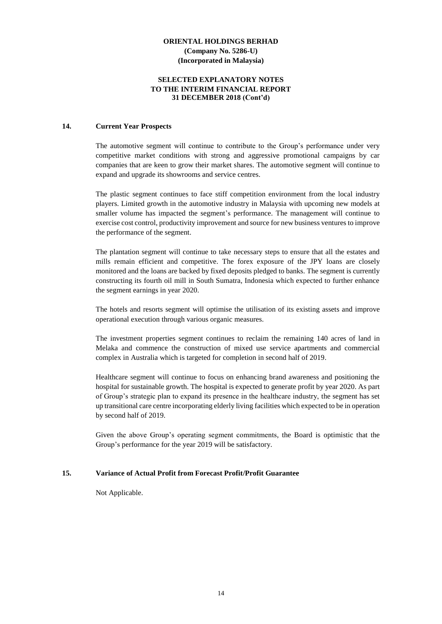#### **SELECTED EXPLANATORY NOTES TO THE INTERIM FINANCIAL REPORT 31 DECEMBER 2018 (Cont'd)**

#### **14. Current Year Prospects**

The automotive segment will continue to contribute to the Group's performance under very competitive market conditions with strong and aggressive promotional campaigns by car companies that are keen to grow their market shares. The automotive segment will continue to expand and upgrade its showrooms and service centres.

The plastic segment continues to face stiff competition environment from the local industry players. Limited growth in the automotive industry in Malaysia with upcoming new models at smaller volume has impacted the segment's performance. The management will continue to exercise cost control, productivity improvement and source for new business ventures to improve the performance of the segment.

The plantation segment will continue to take necessary steps to ensure that all the estates and mills remain efficient and competitive. The forex exposure of the JPY loans are closely monitored and the loans are backed by fixed deposits pledged to banks. The segment is currently constructing its fourth oil mill in South Sumatra, Indonesia which expected to further enhance the segment earnings in year 2020.

The hotels and resorts segment will optimise the utilisation of its existing assets and improve operational execution through various organic measures.

The investment properties segment continues to reclaim the remaining 140 acres of land in Melaka and commence the construction of mixed use service apartments and commercial complex in Australia which is targeted for completion in second half of 2019.

Healthcare segment will continue to focus on enhancing brand awareness and positioning the hospital for sustainable growth. The hospital is expected to generate profit by year 2020. As part of Group's strategic plan to expand its presence in the healthcare industry, the segment has set up transitional care centre incorporating elderly living facilities which expected to be in operation by second half of 2019.

Given the above Group's operating segment commitments, the Board is optimistic that the Group's performance for the year 2019 will be satisfactory.

#### **15. Variance of Actual Profit from Forecast Profit/Profit Guarantee**

Not Applicable.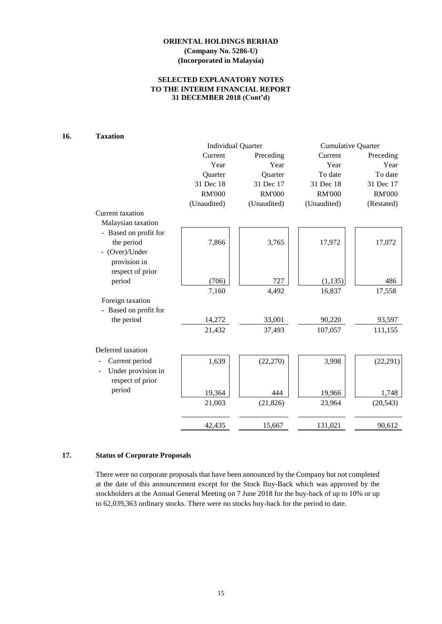# **SELECTED EXPLANATORY NOTES TO THE INTERIM FINANCIAL REPORT 31 DECEMBER 2018 (Cont'd)**

# **16. Taxation**

|                       | <b>Individual Quarter</b> |               | <b>Cumulative Quarter</b> |               |
|-----------------------|---------------------------|---------------|---------------------------|---------------|
|                       | Current                   | Preceding     | Current                   | Preceding     |
|                       | Year                      | Year          | Year                      | Year          |
|                       | Quarter                   | Quarter       | To date                   | To date       |
|                       | 31 Dec 18                 | 31 Dec 17     | 31 Dec 18                 | 31 Dec 17     |
|                       | <b>RM'000</b>             | <b>RM'000</b> | <b>RM'000</b>             | <b>RM'000</b> |
|                       | (Unaudited)               | (Unaudited)   | (Unaudited)               | (Restated)    |
| Current taxation      |                           |               |                           |               |
| Malaysian taxation    |                           |               |                           |               |
| - Based on profit for |                           |               |                           |               |
| the period            | 7,866                     | 3,765         | 17,972                    | 17,072        |
| - (Over)/Under        |                           |               |                           |               |
| provision in          |                           |               |                           |               |
| respect of prior      |                           |               |                           |               |
| period                | (706)                     | 727           | (1, 135)                  | 486           |
|                       | 7,160                     | 4,492         | 16,837                    | 17,558        |
| Foreign taxation      |                           |               |                           |               |
| - Based on profit for |                           |               |                           |               |
| the period            | 14,272                    | 33,001        | 90,220                    | 93,597        |
|                       | 21,432                    | 37,493        | 107,057                   | 111,155       |
|                       |                           |               |                           |               |
| Deferred taxation     |                           |               |                           |               |
| Current period        | 1,639                     | (22, 270)     | 3,998                     | (22, 291)     |
| Under provision in    |                           |               |                           |               |
| respect of prior      |                           |               |                           |               |
| period                |                           |               |                           |               |
|                       | 19,364                    | 444           | 19,966                    | 1,748         |
|                       | 21,003                    | (21, 826)     | 23,964                    | (20, 543)     |
|                       |                           |               |                           |               |
|                       | 42,435                    | 15,667        | 131,021                   | 90,612        |

#### **17. Status of Corporate Proposals**

There were no corporate proposals that have been announced by the Company but not completed at the date of this announcement except for the Stock Buy-Back which was approved by the stockholders at the Annual General Meeting on 7 June 2018 for the buy-back of up to 10% or up to 62,039,363 ordinary stocks. There were no stocks buy-back for the period to date.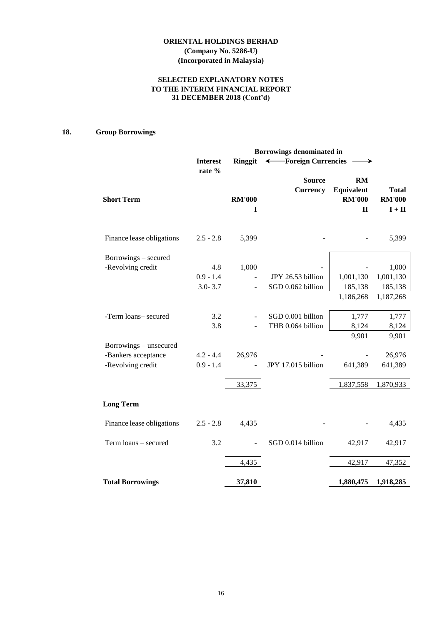# **SELECTED EXPLANATORY NOTES TO THE INTERIM FINANCIAL REPORT 31 DECEMBER 2018 (Cont'd)**

# **18. Group Borrowings**

|                           | Borrowings denominated in |                    |                                  |                                                          |                                           |
|---------------------------|---------------------------|--------------------|----------------------------------|----------------------------------------------------------|-------------------------------------------|
|                           | <b>Interest</b>           | <b>Ringgit</b>     | ← Foreign Currencies             |                                                          |                                           |
| <b>Short Term</b>         | rate %                    | <b>RM'000</b><br>I | <b>Source</b><br><b>Currency</b> | <b>RM</b><br>Equivalent<br><b>RM'000</b><br>$\mathbf{I}$ | <b>Total</b><br><b>RM'000</b><br>$I + II$ |
| Finance lease obligations | $2.5 - 2.8$               | 5,399              |                                  |                                                          | 5,399                                     |
| Borrowings – secured      |                           |                    |                                  |                                                          |                                           |
| -Revolving credit         | 4.8                       | 1,000              |                                  |                                                          | 1,000                                     |
|                           | $0.9 - 1.4$               |                    | JPY 26.53 billion                | 1,001,130                                                | 1,001,130                                 |
|                           | $3.0 - 3.7$               |                    | SGD 0.062 billion                | 185,138                                                  | 185,138                                   |
|                           |                           |                    |                                  | 1,186,268                                                | 1,187,268                                 |
| -Term loans- secured      | 3.2                       |                    | SGD 0.001 billion                | 1,777                                                    | 1,777                                     |
|                           | 3.8                       |                    | THB 0.064 billion                | 8,124                                                    | 8,124                                     |
| Borrowings – unsecured    |                           |                    |                                  | 9,901                                                    | 9,901                                     |
| -Bankers acceptance       | $4.2 - 4.4$               | 26,976             |                                  |                                                          | 26,976                                    |
| -Revolving credit         | $0.9 - 1.4$               |                    | JPY 17.015 billion               | 641,389                                                  | 641,389                                   |
|                           |                           | 33,375             |                                  | 1,837,558                                                | 1,870,933                                 |
| <b>Long Term</b>          |                           |                    |                                  |                                                          |                                           |
| Finance lease obligations | $2.5 - 2.8$               | 4,435              |                                  |                                                          | 4,435                                     |
| Term loans - secured      | 3.2                       |                    | SGD 0.014 billion                | 42,917                                                   | 42,917                                    |
|                           |                           | 4,435              |                                  | 42,917                                                   | 47,352                                    |
| <b>Total Borrowings</b>   |                           | 37,810             |                                  | 1,880,475                                                | 1,918,285                                 |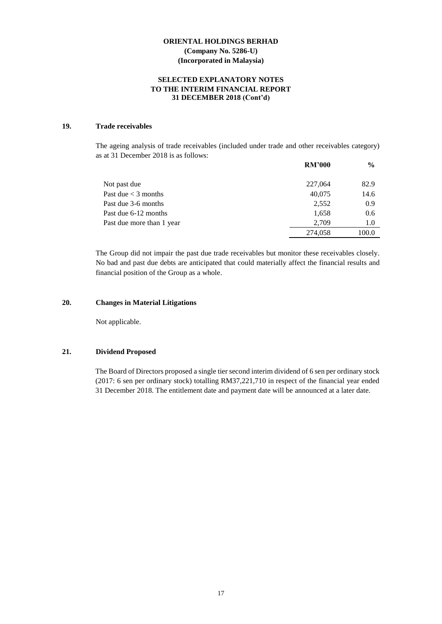#### **SELECTED EXPLANATORY NOTES TO THE INTERIM FINANCIAL REPORT 31 DECEMBER 2018 (Cont'd)**

# **19. Trade receivables**

The ageing analysis of trade receivables (included under trade and other receivables category) as at 31 December 2018 is as follows:

|                           | <b>RM'000</b> | $\frac{6}{9}$ |
|---------------------------|---------------|---------------|
| Not past due              | 227,064       | 82.9          |
| Past due $<$ 3 months     | 40,075        | 14.6          |
| Past due 3-6 months       | 2,552         | 0.9           |
| Past due 6-12 months      | 1,658         | 0.6           |
| Past due more than 1 year | 2.709         | 1.0           |
|                           | 274,058       | 100.0         |

The Group did not impair the past due trade receivables but monitor these receivables closely. No bad and past due debts are anticipated that could materially affect the financial results and financial position of the Group as a whole.

## **20. Changes in Material Litigations**

Not applicable.

#### **21. Dividend Proposed**

The Board of Directors proposed a single tier second interim dividend of 6 sen per ordinary stock (2017: 6 sen per ordinary stock) totalling RM37,221,710 in respect of the financial year ended 31 December 2018. The entitlement date and payment date will be announced at a later date.